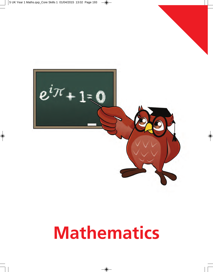

# **Mathematics**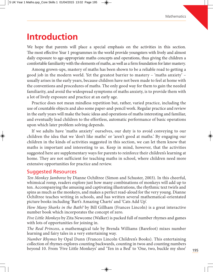# **Introduction**

We hope that parents will place a special emphasis on the activities in this section. The most effective Year 1 programmes in the world provide youngsters with lively and almost daily exposure to age-appropriate maths concepts and operations, thus giving the children a comfortable familiarity with the elements of maths, as well as a firm foundation for later mastery.

Among grown-ups, mastery of maths has been shown to be a reliable road to getting a good job in the modern world. Yet the greatest barrier to mastery – 'maths anxiety' – usually arises in the early years, because children have not been made to feel at home with the conventions and procedures of maths. The only good way for them to gain the needed familiarity, and avoid the widespread symptoms of maths anxiety, is to provide them with a lot of lively exposure and practice at an early age.

Practice does not mean mindless repetition but, rather, varied practice, including the use of countable objects and also some paper-and-pencil work. Regular practice and review in the early years will make the basic ideas and operations of maths interesting and familiar, and eventually lead children to the effortless, automatic performance of basic operations upon which later problem solving depends.

If we adults have 'maths anxiety' ourselves, our duty is to avoid conveying to our children the idea that we 'don't like maths' or 'aren't good at maths.' By engaging our children in the kinds of activities suggested in this section, we can let them know that maths is important and interesting to us. Keep in mind, however, that the activities suggested here are supplementary ways for parents to reinforce their children's learning at home. They are not sufficient for teaching maths in school, where children need more extensive opportunities for practice and review.

### Suggested Resources

*Ten Monkey Jamboree* by Dianne Ochiltree (Simon and Schuster, 2003). In this cheerful, whimsical romp, readers explore just how many combinations of monkeys will add up to ten. Accompanying the amusing and captivating illustrations, the rhythmic text twirls and spins as much as the monkeys, and makes a perfect read-aloud for the very young. Dianne Ochiltree teaches writing in schools, and has written several mathematical-orientated picture books including 'Bart's Amazing Charts' and 'Cats Add Up'.

*How Many Sharks in the Bath?* by Bill Gillham (Frances Lincoln) is a great interactive number book which incorporates the concept of zero.

*Five Little Monkeys* by Zita Newcome (Walker) is packed full of number rhymes and games with lots of opportunities for joining in.

*The Real Princess*, a mathemagical tale by Brenda Williams (Barefoot) mixes number learning and fairy tales in a very entertaining way.

*Number Rhymes* by Opal Dunn (Frances Lincoln Children's Books). This entertaining collection of rhymes explores counting backwards, counting in twos and counting numbers beyond 10. From 'Five Little Monkeys' and 'Ten in a Bed' to 'One, two, buckle my shoe'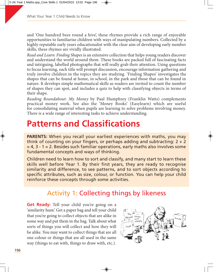and 'One hundred bees round a hive', these rhymes provide a rich range of enjoyable opportunities to familiarise children with ways of manipulating numbers. Collected by a highly reputable early years educationalist with the clear aim of developing early number skills, these rhymes are vividly illustrated.

*Read and Learn: Finding Shapes* is an extensive collection that helps young readers discover and understand the world around them. These books are packed full of fascinating facts and intriguing, labelled photographs that will really grab their attention. Using questions to focus learning, each title will prompt discussion, encourage information gathering and truly involve children in the topics they are studying. 'Finding Shapes' investigates the shapes that can be found at home, in school, in the park and those that can be found in nature. It develops simple mathematical skills as readers are invited to count the number of shapes they can spot, and includes a quiz to help with classifying objects in terms of their shape.

*Reading Roundabout: My Money* by Paul Humphrey (Franklin Watts) complements practical money work. See also the 'Money Books' (Easylearn) which are useful for consolidating material when pupils are learning to solve problems involving money. There is a wide range of interesting tasks to achieve understanding.

# **Patterns and Classifications**

**PARENTS:** When you recall your earliest experiences with maths, you may think of counting on your fingers, or perhaps adding and subtracting: 2 + 2  $= 4$ ,  $3 - 1 = 2$ . Besides such familiar operations, early maths also involves some fundamental concepts and ways of thinking.

Children need to learn how to sort and classify, and many start to learn these skills well before Year 1. By their first years, they are ready to recognise similarity and difference, to see patterns, and to sort objects according to specific attributes, such as size, colour, or function. You can help your child reinforce these concepts through some activities.

# Activity 1: Collecting things by likeness

**Get Ready:** Tell your child you're going on a 'similarity hunt.' Get a paper bag and tell your child that you're going to collect objects that are alike in some way and put them in the bag. Talk about what sorts of things you will collect and how they will be alike. You may want to collect things that are all one colour or things that are all used in the same way (things to eat with, things to draw with, etc.).

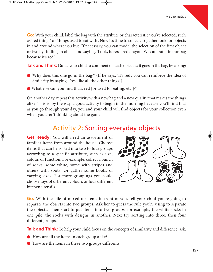**Go:** With your child, label the bag with the attribute or characteristic you've selected, such as 'red things' or 'things used to eat with'. Now it's time to collect. Together look for objects in and around where you live. If necessary, you can model the selection of the first object or two by finding an object and saying, 'Look, here's a red crayon. We can put it in our bag because it's red.'

**Talk and Think:** Guide your child to comment on each object as it goes in the bag, by asking:

- **●** 'Why does this one go in the bag?' (If he says, 'It's red', you can reinforce the idea of similarity by saying, 'Yes, like all the other things'.)
- **●** What else can you find that's red [or used for eating, etc.]?'

On another day, repeat this activity with a new bag and a new quality that makes the things alike. This is, by the way, a good activity to begin in the morning because you'll find that as you go through your day, you and your child will find objects for your collection even when you aren't thinking about the game.

### Activity 2: Sorting everyday objects

**Get Ready:** You will need an assortment of familiar items from around the house. Choose items that can be sorted into two to four groups according to a specific attribute, such as size, colour, or function. For example, collect a bunch of socks, some white, some with stripes and others with spots. Or gather some books of varying sizes. For more groupings you could choose toys of different colours or four different kitchen utensils.



**Go:** With the pile of mixed-up items in front of you, tell your child you're going to separate the objects into two groups. Ask her to guess the rule you're using to separate the objects. Then start to put items into two groups: for example, the white socks in one pile, the socks with designs in another. Next try sorting into three, then four different groups.

**Talk and Think:** To help your child focus on the concepts of similarity and difference, ask:

- **●** 'How are all the items in each group alike?'
- **●** 'How are the items in these two groups different?'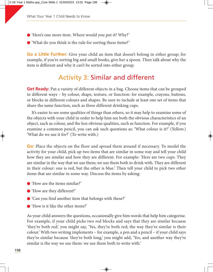- **●** 'Here's one more item. Where would you put it? Why?'
- **●** 'What do you think is the rule for sorting these items?'

**Go a Little Further:** Give your child an item that doesn't belong in either group; for example, if you're sorting big and small books, give her a spoon. Then talk about why the item is different and why it can't be sorted into either group.

# Activity 3: Similar and different

**Get Ready:** Put a variety of different objects in a bag. Choose items that can be grouped in different ways – by colour, shape, texture, or function: for example, crayons, buttons, or blocks in different colours and shapes. Be sure to include at least one set of items that share the same function, such as three different drinking cups.

It's easier to see some qualities of things than others, so it may help to examine some of the objects with your child in order to help him see both the obvious characteristics of an object, such as colour, and the less obvious qualities, such as function. For example, if you examine a common pencil, you can ask such questions as: 'What colour is it?' (Yellow.) 'What do we use it for?' (To write with.)

**Go:** Place the objects on the floor and spread them around if necessary. To model the activity for your child, pick up two items that are similar in some way and tell your child how they are similar and how they are different. For example: 'Here are two cups. They are similar in the way that we use them; we use them both to drink with. They are different in their colour: one is red, but the other is blue.' Then tell your child to pick two other items that are similar in some way. Discuss the items by asking:

- **●** 'How are the items similar?'
- **●** 'How are they different?'
- **●** 'Can you find another item that belongs with these?'
- **●** 'How is it like the other items?'

As your child answers the questions, occasionally give him words that help him categorise. For example, if your child picks two red blocks and says that they are similar because 'they're both red,' you might say, 'Yes, they're both red; the way they're similar is their colour.' With two writing implements – for example, a pen and a pencil – if your child says they're similar because 'they're both long,' you might add, 'Yes, and another way they're similar is the way we use them: we use them both to write with.'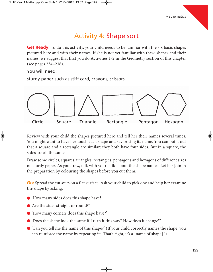# Activity 4: Shape sort

**Get Ready:** To do this activity, your child needs to be familiar with the six basic shapes pictured here and with their names. If she is not yet familiar with these shapes and their names, we suggest that first you do Activities 1-2 in the Geometry section of this chapter (see pages 234–238).

You will need:

sturdy paper such as stiff card, crayons, scissors



Review with your child the shapes pictured here and tell her their names several times. You might want to have her touch each shape and say or sing its name. You can point out that a square and a rectangle are similar: they both have four sides. But in a square, the sides are all the same.

Draw some circles, squares, triangles, rectangles, pentagons and hexagons of different sizes on sturdy paper. As you draw, talk with your child about the shape names. Let her join in the preparation by colouring the shapes before you cut them.

**Go:** Spread the cut-outs on a flat surface. Ask your child to pick one and help her examine the shape by asking:

- **●** 'How many sides does this shape have?'
- 'Are the sides straight or round?'
- **●** 'How many corners does this shape have?'
- **●** 'Does the shape look the same if I turn it this way? How does it change?'
- **●** 'Can you tell me the name of this shape?' (If your child correctly names the shape, you can reinforce the name by repeating it: 'That's right, it's a [name of shape].')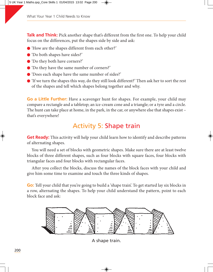**Talk and Think:** Pick another shape that's different from the first one. To help your child focus on the differences, put the shapes side by side and ask:

- **●** 'How are the shapes different from each other?'
- **●** 'Do both shapes have sides?'
- **●** 'Do they both have corners?'
- **●** 'Do they have the same number of corners?'
- **●** 'Does each shape have the same number of sides?'
- **●** 'If we turn the shapes this way, do they still look different?' Then ask her to sort the rest of the shapes and tell which shapes belong together and why.

**Go a Little Further:** Have a scavenger hunt for shapes. For example, your child may compare a rectangle and a tabletop; an ice-cream cone and a triangle; or a tyre and a circle. The hunt can take place at home, in the park, in the car, or anywhere else that shapes exist – that's everywhere!

# Activity 5: Shape train

**Get Ready:** This activity will help your child learn how to identify and describe patterns of alternating shapes.

You will need a set of blocks with geometric shapes. Make sure there are at least twelve blocks of three different shapes, such as four blocks with square faces, four blocks with triangular faces and four blocks with rectangular faces.

After you collect the blocks, discuss the names of the block faces with your child and give him some time to examine and touch the three kinds of shapes.

**Go:** Tell your child that you're going to build a 'shape train'. To get started lay six blocks in a row, alternating the shapes. To help your child understand the pattern, point to each block face and ask:



A shape train.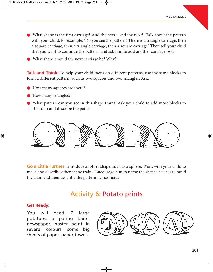- **●** 'What shape is the first carriage? And the next? And the next?' Talk about the pattern with your child; for example: 'Do you see the pattern? There is a triangle carriage, then a square carriage, then a triangle carriage, then a square carriage.' Then tell your child that you want to continue the pattern, and ask him to add another carriage. Ask:
- **●** 'What shape should the next carriage be? Why?'

**Talk and Think:** To help your child focus on different patterns, use the same blocks to form a different pattern, such as two squares and two triangles. Ask:

- **●** 'How many squares are there?'
- **●** 'How many triangles?'
- **●** 'What pattern can you see in this shape train?' Ask your child to add more blocks to the train and describe the pattern.



**Go a Little Further:** Introduce another shape, such as a sphere. Work with your child to make and describe other shape trains. Encourage him to name the shapes he uses to build the train and then describe the pattern he has made.

# Activity 6: Potato prints

#### **Get Ready:**

You will need: 2 large potatoes, a paring knife, newspaper, poster paint in several colours, some big sheets of paper, paper towels.

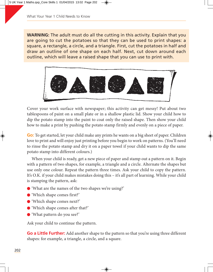**WARNING:** The adult must do all the cutting in this activity. Explain that you are going to cut the potatoes so that they can be used to print shapes: a square, a rectangle, a circle, and a triangle. First, cut the potatoes in half and draw an outline of one shape on each half. Next, cut down around each outline, which will leave a raised shape that you can use to print with.



Cover your work surface with newspaper; this activity can get messy! Put about two tablespoons of paint on a small plate or in a shallow plastic lid. Show your child how to dip the potato stamp into the paint to coat only the raised shape. Then show your child how to make a print by pushing the potato stamp firmly and evenly on a piece of paper.

**Go:** To get started, let your child make any prints he wants on a big sheet of paper. Children love to print and will enjoy just printing before you begin to work on patterns. (You'll need to rinse the potato stamp and dry it on a paper towel if your child wants to dip the same potato stamp into different colours.)

When your child is ready, get a new piece of paper and stamp out a pattern on it. Begin with a pattern of two shapes, for example, a triangle and a circle. Alternate the shapes but use only one colour. Repeat the pattern three times. Ask your child to copy the pattern. It's O.K. if your child makes mistakes doing this – it's all part of learning. While your child is stamping the pattern, ask:

- **●** 'What are the names of the two shapes we're using?'
- **●** 'Which shape comes first?'
- **●** 'Which shape comes next?'
- **●** 'Which shape comes after that?'
- **●** 'What pattern do you see?'

Ask your child to continue the pattern.

**Go a Little Further:** Add another shape to the pattern so that you're using three different shapes: for example, a triangle, a circle, and a square.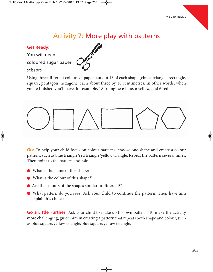# Activity 7: More play with patterns

### **Get Ready:**

You will need:

coloured sugar paper

scissors



Using three different colours of paper, cut out 18 of each shape (circle, triangle, rectangle, square, pentagon, hexagon), each about three by 10 centimetres. In other words, when you're finished you'll have, for example, 18 triangles: 6 blue, 6 yellow, and 6 red.



**Go:** To help your child focus on colour patterns, choose one shape and create a colour pattern, such as blue triangle/red triangle/yellow triangle. Repeat the pattern several times. Then point to the pattern and ask:

- **●** 'What is the name of this shape?'
- **●** 'What is the colour of this shape?'
- **●** 'Are the colours of the shapes similar or different?'
- **●** 'What pattern do you see?' Ask your child to continue the pattern. Then have him explain his choices.

**Go a Little Further:** Ask your child to make up his own pattern. To make the activity more challenging, guide him in creating a pattern that repeats both shape and colour, such as blue square/yellow triangle/blue square/yellow triangle.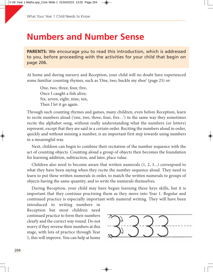# **Numbers and Number Sense**

**PARENTS:** We encourage you to read this introduction, which is addressed to you, before proceeding with the activities for your child that begin on page 206.

At home and during nursery and Reception, your child will no doubt have experienced some familiar counting rhymes, such as 'One, two, buckle my shoe' (page 25) or:

One, two, three, four, five, Once I caught a fish alive; Six, seven, eight, nine, ten, Then I let it go again.

Through such counting rhymes and games, many children, even before Reception, learn to recite numbers aloud ('one, two, three, four, five…') in the same way they sometimes recite the alphabet song, without really understanding what the numbers (or letters) represent, except that they are said in a certain order. Reciting the numbers aloud in order, quickly and without missing a number, is an important first step towards using numbers in a meaningful way.

Next, children can begin to combine their recitation of the number sequence with the act of counting objects. Counting aloud a group of objects then becomes the foundation for learning addition, subtraction, and later, place value.

Children also need to become aware that written numerals (1, 2, 3...) correspond to what they have been saying when they recite the number sequence aloud. They need to learn to put these written numerals in order, to match the written numerals to groups of objects having the same quantity, and to write the numerals themselves.

During Reception, your child may have begun learning these keys skills, but it is important that they continue practising them as they move into Year 1. Regular and continued practice is especially important with numeral writing. They will have been

introduced to writing numbers in Reception but most children need continued practice to form their numbers clearly and the correct way round. Do not worry if they reverse their numbers at this stage, with lots of practice through Year 1, this will improve. You can help at home

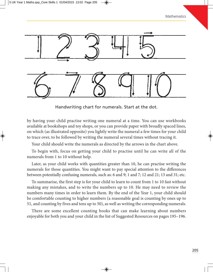

Handwriting chart for numerals. Start at the dot.

by having your child practise writing one numeral at a time. You can use workbooks available at bookshops and toy shops, or you can provide paper with broadly spaced lines, on which (as illustrated opposite) you lightly write the numeral a few times for your child to trace over, to be followed by writing the numeral several times without tracing it.

Your child should write the numerals as directed by the arrows in the chart above.

To begin with, focus on getting your child to practise until he can write all of the numerals from 1 to 10 without help.

Later, as your child works with quantities greater than 10, he can practise writing the numerals for those quantities. You might want to pay special attention to the differences between potentially confusing numerals, such as: 6 and 9; 1 and 7; 12 and 21; 13 and 31; etc.

To summarise, the first step is for your child to learn to count from 1 to 10 fast without making any mistakes, and to write the numbers up to 10. He may need to review the numbers many times in order to learn them. By the end of the Year 1, your child should be comfortable counting to higher numbers (a reasonable goal is counting by ones up to 51, and counting by fives and tens up to 50), as well as writing the corresponding numerals.

There are some excellent counting books that can make learning about numbers enjoyable for both you and your child in the list of Suggested Resources on pages 195–196.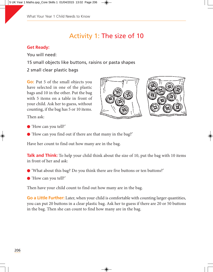# Activity 1: The size of 10

### **Get Ready:**

You will need:

15 small objects like buttons, raisins or pasta shapes

2 small clear plastic bags

**Go:** Put 5 of the small objects you have selected in one of the plastic bags and 10 in the other. Put the bag with 5 items on a table in front of your child. Ask her to guess, without counting, if the bag has 5 or 10 items.



Then ask:

- **●** 'How can you tell?'
- **●** 'How can you find out if there are that many in the bag?'

Have her count to find out how many are in the bag.

**Talk and Think:** To help your child think about the size of 10, put the bag with 10 items in front of her and ask:

- **●** 'What about this bag? Do you think there are five buttons or ten buttons?'
- **●** 'How can you tell?'

Then have your child count to find out how many are in the bag.

**Go a Little Further:** Later, when your child is comfortable with counting larger quantities, you can put 20 buttons in a clear plastic bag. Ask her to guess if there are 20 or 50 buttons in the bag. Then she can count to find how many are in the bag.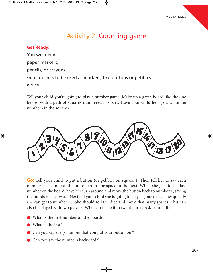# Activity 2: Counting game

### **Get Ready:**

You will need: paper markers, pencils, or crayons small objects to be used as markers, like buttons or pebbles a dice

Tell your child you're going to play a number game. Make up a game board like the one below, with a path of squares numbered in order. Have your child help you write the numbers in the squares.



**Go:** Tell your child to put a button (or pebble) on square 1. Then tell her to say each number as she moves the button from one space to the next. When she gets to the last number on the board, have her turn around and move the button back to number 1, saying the numbers backward. Next tell your child she is going to play a game to see how quickly she can get to number 20. She should roll the dice and move that many spaces. This can also be played with two players. Who can make it to twenty first? Ask your child:

- **●** 'What is the first number on the board?'
- **●** 'What is the last?'
- **●** 'Can you say every number that you put your button on?'
- **●** 'Can you say the numbers backward?'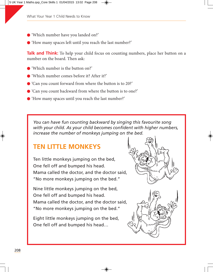- **●** 'Which number have you landed on?'
- **●** 'How many spaces left until you reach the last number?'

**Talk and Think:** To help your child focus on counting numbers, place her button on a number on the board. Then ask:

- **●** 'Which number is the button on?'
- **●** 'Which number comes before it? After it?'
- **●** 'Can you count forward from where the button is to 20?'
- **●** 'Can you count backward from where the button is to one?'
- **●** 'How many spaces until you reach the last number?'

*You can have fun counting backward by singing this favourite song with your child. As your child becomes confident with higher numbers, increase the number of monkeys jumping on the bed.* 

### **TEN LITTLE MONKEYS**

Ten little monkeys jumping on the bed, One fell off and bumped his head. Mama called the doctor, and the doctor said, "No more monkeys jumping on the bed."

Nine little monkeys jumping on the bed, One fell off and bumped his head. Mama called the doctor, and the doctor said, "No more monkeys jumping on the bed."

Eight little monkeys jumping on the bed, One fell off and bumped his head…

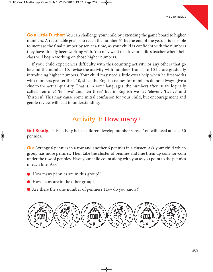**Go a Little Further:** You can challenge your child by extending the game board to higher numbers. A reasonable goal is to reach the number 51 by the end of the year. It is sensible to increase the final number by ten at a time, as your child is confident with the numbers they have already been working with. You may want to ask your child's teacher when their class will begin working on those higher numbers.

If your child experiences difficulty with this counting activity, or any others that go beyond the number 10, revise the activity with numbers from 1 to 10 before gradually introducing higher numbers. Your child may need a little extra help when he first works with numbers greater than 10, since the English names for numbers do not always give a clue to the actual quantity. That is, in some languages, the numbers after 10 are logically called 'ten-one,' 'ten-two' and 'ten-three' but in English we say 'eleven', 'twelve' and 'thirteen'. This may cause some initial confusion for your child, but encouragement and gentle review will lead to understanding.

# Activity 3: How many?

**Get Ready:** This activity helps children develop number sense. You will need at least 30 pennies.

**Go:** Arrange 6 pennies in a row and another 6 pennies in a cluster. Ask your child which group has more pennies. Then take the cluster of pennies and line them up coin-for-coin under the row of pennies. Have your child count along with you as you point to the pennies in each line. Ask:

- **●** 'How many pennies are in this group?'
- **●** 'How many are in the other group?'
- **●** 'Are there the same number of pennies? How do you know?'

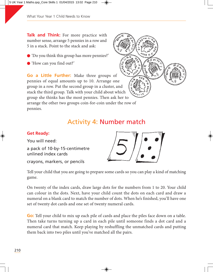**Talk and Think:** For more practice with number sense, arrange 5 pennies in a row and 5 in a stack. Point to the stack and ask:

- 'Do you think this group has more pennies?'
- **●** 'How can you find out?'

**Go a Little Further:** Make three groups of pennies of equal amounts up to 10. Arrange one group in a row. Put the second group in a cluster, and stack the third group. Talk with your child about which group she thinks has the most pennies. Then ask her to arrange the other two groups coin-for-coin under the row of pennies.



# Activity 4: Number match

#### **Get Ready:**

You will need:

a pack of 10-by-15-centimetre unlined index cards

crayons, markers, or pencils



Tell your child that you are going to prepare some cards so you can play a kind of matching game.

On twenty of the index cards, draw large dots for the numbers from 1 to 20. Your child can colour in the dots. Next, have your child count the dots on each card and draw a numeral on a blank card to match the number of dots. When he's finished, you'll have one set of twenty dot cards and one set of twenty numeral cards.

**Go:** Tell your child to mix up each pile of cards and place the piles face down on a table. Then take turns turning up a card in each pile until someone finds a dot card and a numeral card that match. Keep playing by reshuffling the unmatched cards and putting them back into two piles until you've matched all the pairs.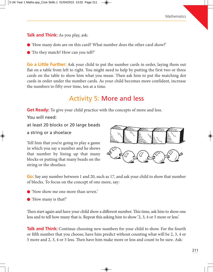**Talk and Think:** As you play, ask:

- **●** 'How many dots are on this card? What number does the other card show?'
- **●** 'Do they match? How can you tell?'

**Go a Little Further:** Ask your child to put the number cards in order, laying them out flat on a table from left to right. You might need to help by putting the first two or three cards on the table to show him what you mean. Then ask him to put the matching dot cards in order under the number cards. As your child becomes more confident, increase the numbers to fifty over time, ten at a time.

### Activity 5: More and less

**Get Ready:** To give your child practice with the concepts of more and less.

You will need:

at least 20 blocks or 20 large beads

a string or a shoelace

Tell him that you're going to play a game in which you say a number and he shows that number by lining up that many blocks or putting that many beads on the string or the shoelace.



**Go:** Say any number between 1 and 20, such as 17, and ask your child to show that number of blocks. To focus on the concept of one more, say:

- **●** 'Now show me one more than seven.'
- **●** 'How many is that?'

Then start again and have your child show a different number. This time, ask him to show one less and to tell how many that is. Repeat this asking him to show '2, 3, 4 or 5 more or less.'

**Talk and Think:** Continue choosing new numbers for your child to show. For the fourth or fih number that you choose, have him predict without counting what will be 2, 3, 4 or 5 more and 2, 3, 4 or 5 less. Then have him make more or less and count to be sure. Ask: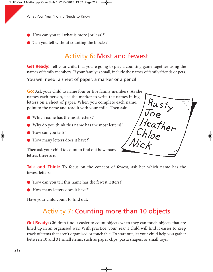- **●** 'How can you tell what is more [or less]?'
- **●** 'Can you tell without counting the blocks?'

### Activity 6: Most and fewest

**Get Ready:** Tell your child that you're going to play a counting game together using the names of family members. If your family is small, include the names of family friends or pets.

You will need: a sheet of paper, a marker or a pencil

**Go:** Ask your child to name four or five family members. As she names each person, use the marker to write the names in big<br>
letters on a sheet of paper. When you complete each name,<br>
point to the name and read it with your child. Then ask:<br>
• Which name has the most letters?<br>
• Why d letters on a sheet of paper. When you complete each name, point to the name and read it with your child. Then ask: **●** 'Which name has the most letters?' **●** 'Why do you think this name has the most letters?' **●** 'How can you tell?' **●** 'How many letters does it have?' Then ask your child to count to find out how many letters there are.

**Talk and Think:** To focus on the concept of fewest, ask her which name has the fewest letters:

- **●** 'How can you tell this name has the fewest letters?'
- **●** 'How many letters does it have?'

Have your child count to find out.

# Activity 7: Counting more than 10 objects

**Get Ready:** Children find it easier to count objects when they can touch objects that are lined up in an organised way. With practice, your Year 1 child will find it easier to keep track of items that aren't organised or touchable. To start out, let your child help you gather between 10 and 31 small items, such as paper clips, pasta shapes, or small toys.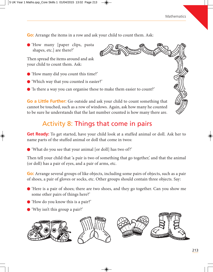**Go:** Arrange the items in a row and ask your child to count them. Ask:

**●** 'How many [paper clips, pasta shapes, etc.] are there?'

Then spread the items around and ask your child to count them. Ask:

- **●** 'How many did you count this time?'
- **●** 'Which way that you counted is easier?'
- **●** 'Is there a way you can organise these to make them easier to count?'

**Go a Little Further:** Go outside and ask your child to count something that cannot be touched, such as a row of windows. Again, ask how many he counted to be sure he understands that the last number counted is how many there are.

# Activity 8: Things that come in pairs

**Get Ready:** To get started, have your child look at a stuffed animal or doll. Ask her to name parts of the stuffed animal or doll that come in twos:

**●** 'What do you see that your animal [or doll] has two of?'

Then tell your child that 'a pair is two of something that go together,' and that the animal (or doll) has a pair of eyes, and a pair of arms, etc.

**Go:** Arrange several groups of like objects, including some pairs of objects, such as a pair of shoes, a pair of gloves or socks, etc. Other groups should contain three objects. Say:

- **●** 'Here is a pair of shoes; there are two shoes, and they go together. Can you show me some other pairs of things here?'
- **●** 'How do you know this is a pair?'
- **●** 'Why isn't this group a pair?'

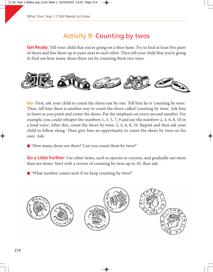# Activity 9: Counting by twos

**Get Ready:** Tell your child that you're going on a shoe hunt. Try to find at least five pairs of shoes and line them up in pairs next to each other. Then tell your child that you're going to find out how many shoes there are by counting them two ways.



**Go:** First, ask your child to count the shoes one by one. Tell him he is 'counting by ones.' Then, tell him there is another way to count the shoes called 'counting by twos.' Ask him to listen as you point and count the shoes. Put the emphasis on every second number. For example, you could whisper the numbers 1, 3, 5, 7, 9 and say the numbers 2, 4, 6, 8, 10 in a loud voice. After this, count the shoes by twos: 2, 4, 6, 8, 10. Repeat and then ask your child to follow along. Then give him an opportunity to count the shoes by twos on his own. Ask:

**●** 'How many shoes are there? Can you count them by twos?'

**Go a Little Further:** Use other items, such as spoons or crayons, and gradually use more than ten items. Start with a review of counting by twos up to 10, then ask:

**●** 'What number comes next if we keep counting by twos?'

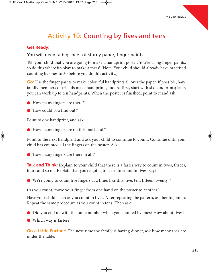# Activity 10: Counting by fives and tens

### **Get Ready:**

### You will need: a big sheet of sturdy paper, finger paints

Tell your child that you are going to make a handprint poster. You're using finger paints, so do this where it's okay to make a mess! (Note: Your child should already have practised counting by ones to 30 before you do this activity.)

**Go:** Use the finger paints to make colourful handprints all over the paper. If possible, have family members or friends make handprints, too. At first, start with six handprints; later, you can work up to ten handprints. When the poster is finished, point to it and ask:

- **●** 'How many fingers are there?'
- **●** 'How could you find out?'

Point to one handprint, and ask:

**●** 'How many fingers are on this one hand?'

Point to the next handprint and ask your child to continue to count. Continue until your child has counted all the fingers on the poster. Ask:

**●** 'How many fingers are there in all?'

**Talk and Think:** Explain to your child that there is a faster way to count in twos, threes, fours and so on. Explain that you're going to learn to count in fives. Say:

**●** 'We're going to count five fingers at a time, like this: five, ten, fifteen, twenty...'

(As you count, move your finger from one hand on the poster to another.)

Have your child listen as you count in fives. After repeating the pattern, ask her to join in. Repeat the same procedure as you count in tens. Then ask:

- 'Did you end up with the same number when you counted by ones? How about fives?'
- **●** 'Which way is faster?'

**Go a Little Further:** The next time the family is having dinner, ask how many toes are under the table.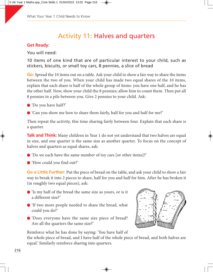# Activity 11: Halves and quarters

### **Get Ready:**

You will need:

10 items of one kind that are of particular interest to your child, such as stickers, biscuits, or small toy cars, 8 pennies, a slice of bread

**Go:** Spread the 10 items out on a table. Ask your child to show a fair way to share the items between the two of you. When your child has made two equal shares of the 10 items, explain that each share is half of the whole group of items: you have one half, and he has the other half. Now, show your child the 8 pennies; allow him to count them. Then put all 8 pennies in a pile between you. Give 2 pennies to your child. Ask:

- **●** 'Do you have half?'
- **●** 'Can you show me how to share them fairly, half for you and half for me?'

Then repeat the activity, this time sharing fairly between four. Explain that each share is a quarter.

**Talk and Think:** Many children in Year 1 do not yet understand that two halves are equal in size, and one quarter is the same size as another quarter. To focus on the concept of halves and quarters as equal shares, ask:

- 'Do we each have the same number of toy cars [or other items]?'
- **●** 'How could you find out?'

**Go a Little Further:** Put the piece of bread on the table, and ask your child to show a fair way to break it into 2 pieces to share, half for you and half for him. After he has broken it (in roughly two equal pieces), ask:

- **●** 'Is my half of the bread the same size as yours, or is it a different size?'
- **●** 'If two more people needed to share the bread, what could you do?'
- **●** 'Does everyone have the same size piece of bread? Are all the quarters the same size?'

Reinforce what he has done by saying: 'You have half of

the whole piece of bread, and I have half of the whole piece of bread, and both halves are equal.' Similarly reinforce sharing into quarters.

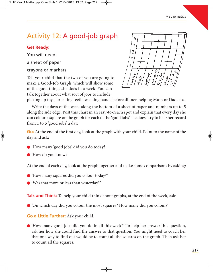# Activity 12: A good-job graph

### **Get Ready:**

You will need:

a sheet of paper

crayons or markers

Tell your child that the two of you are going to make a Good-Job Graph, which will show some of the good things she does in a week. You can talk together about what sort of jobs to include:



picking up toys, brushing teeth, washing hands before dinner, helping Mum or Dad, etc.

Write the days of the week along the bottom of a sheet of paper and numbers up to 5 along the side edge. Post this chart in an easy-to-reach spot and explain that every day she can colour a square on the graph for each of the 'good jobs' she does. Try to help her record from 1 to 5 'good jobs' a day.

**Go:** At the end of the first day, look at the graph with your child. Point to the name of the day and ask:

- **●** 'How many 'good jobs' did you do today?'
- **●** 'How do you know?'

At the end of each day, look at the graph together and make some comparisons by asking:

- **●** 'How many squares did you colour today?'
- **●** 'Was that more or less than yesterday?'

**Talk and Think:** To help your child think about graphs, at the end of the week, ask:

**●** 'On which day did you colour the most squares? How many did you colour?'

**Go a Little Further:** Ask your child:

**●** 'How many good jobs did you do in all this week?' To help her answer this question, ask her how she could find the answer to that question. You might need to coach her that one way to find out would be to count all the squares on the graph. Then ask her to count all the squares.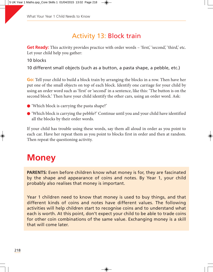# Activity 13: Block train

**Get Ready:** This activity provides practice with order words – 'first,' 'second,' 'third,' etc. Let your child help you gather:

10 blocks

10 different small objects (such as a button, a pasta shape, a pebble, etc.)

**Go:** Tell your child to build a block train by arranging the blocks in a row. Then have her put one of the small objects on top of each block. Identify one carriage for your child by using an order word such as 'first' or 'second' in a sentence, like this: 'The button is on the second block.' Then have your child identify the other cars, using an order word. Ask:

- **●** 'Which block is carrying the pasta shape?'
- **●** 'Which block is carrying the pebble?' Continue until you and your child have identified all the blocks by their order words.

If your child has trouble using these words, say them all aloud in order as you point to each car. Have her repeat them as you point to blocks first in order and then at random. Then repeat the questioning activity.

# **Money**

**PARENTS:** Even before children know what money is for, they are fascinated by the shape and appearance of coins and notes. By Year 1, your child probably also realises that money is important.

Year 1 children need to know that money is used to buy things, and that different kinds of coins and notes have different values. The following activities will help children start to recognise coins and to understand what each is worth. At this point, don't expect your child to be able to trade coins for other coin combinations of the same value. Exchanging money is a skill that will come later.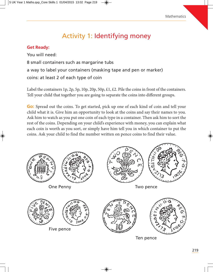# Activity 1: Identifying money

### **Get Ready:**

You will need: 8 small containers such as margarine tubs a way to label your containers (masking tape and pen or marker) coins: at least 2 of each type of coin

Label the containers 1p, 2p, 5p, 10p, 20p, 50p, £1, £2. Pile the coins in front of the containers. Tell your child that together you are going to separate the coins into different groups.

**Go:** Spread out the coins. To get started, pick up one of each kind of coin and tell your child what it is. Give him an opportunity to look at the coins and say their names to you. Ask him to watch as you put one coin of each type in a container. Then ask him to sort the rest of the coins. Depending on your child's experience with money, you can explain what each coin is worth as you sort, or simply have him tell you in which container to put the coins. Ask your child to find the number written on pence coins to find their value.











Ten pence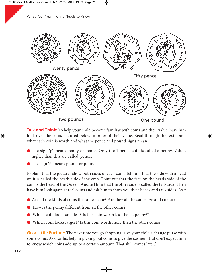

**Talk and Think:** To help your child become familiar with coins and their value, have him look over the coins pictured below in order of their value. Read through the text about what each coin is worth and what the pence and pound signs mean.

- **●** The sign 'p' means penny or pence. Only the 1 pence coin is called a penny. Values higher than this are called 'pence'.
- The sign '£' means pound or pounds.

Explain that the pictures show both sides of each coin. Tell him that the side with a head on it is called the heads side of the coin. Point out that the face on the heads side of the coin is the head of the Queen. And tell him that the other side is called the tails side. Then have him look again at real coins and ask him to show you their heads and tails sides. Ask:

- **●** 'Are all the kinds of coins the same shape? Are they all the same size and colour?'
- **●** 'How is the penny different from all the other coins?'
- **●** 'Which coin looks smallest? Is this coin worth less than a penny?'
- **●** 'Which coin looks largest? Is this coin worth more than the other coins?'

**Go a Little Further:** The next time you go shopping, give your child a change purse with some coins. Ask for his help in picking out coins to give the cashier. (But don't expect him to know which coins add up to a certain amount. That skill comes later.)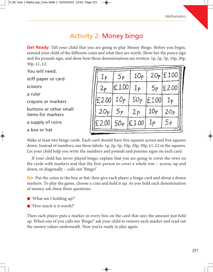# Activity 2: Money bingo

**Get Ready:** Tell your child that you are going to play Money Bingo. Before you begin, remind your child of the different coins and what they are worth. Show her the pence sign and the pounds sign, and show how these denominations are written: 1p, 2p, 5p, 10p, 20p, 50p, £1, £2.

You will need:

stiff paper or card

scissors

a ruler

crayons or markers

buttons or other small items for markers

a supply of coins

a box or hat

| ŢΡ              | 5 <sub>P</sub>  | 10 <sub>P</sub>  |                 | 20 <sub>P</sub>  £1.00 |
|-----------------|-----------------|------------------|-----------------|------------------------|
| 2 <sub>P</sub>  | £1.00           | lp               | 5 <sub>P</sub>  | E2.00                  |
| £2.00           | 10 <sub>P</sub> | 50 <sub>P</sub>  | £1.00           | ľр                     |
| 20 <sub>P</sub> | 5 <sub>P</sub>  | 2P               | 10 <sub>P</sub> | 2O <sub>P</sub>        |
| JE 2.00         | 50 <sub>P</sub> | $\mathsf{E}1.00$ | ŢΡ              | 5P                     |

Make at least two bingo cards. Each card should have five squares across and five squares down. Instead of numbers, use these labels: 1p, 2p, 5p, 10p, 20p, 50p, £1, £2 in the squares. Let your child help you write the numbers and pounds and pennies signs on each card.

If your child has never played bingo, explain that you are going to cover the rows on the cards with markers and that the first person to cover a whole row – across, up and down, or diagonally – calls out 'Bingo!'

**Go:** Put the coins in the box or hat, then give each player a bingo card and about a dozen markers. To play the game, choose a coin and hold it up. As you hold each denomination of money, ask these three questions:

**●** 'What am I holding up?'

**●** 'How much is it worth?'

Then each player puts a marker in every box on the card that says the amount just held up. When one of you calls out 'Bingo!' ask your child to remove each marker and read out the money values underneath. Now you're ready to play again.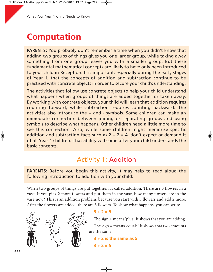# **Computation**

**PARENTS:** You probably don't remember a time when you didn't know that adding two groups of things gives you one larger group, while taking away something from one group leaves you with a smaller group. But these fundamental mathematical concepts are likely to have only been introduced to your child in Reception. It is important, especially during the early stages of Year 1, that the concepts of addition and subtraction continue to be practised with concrete objects in order to secure your child's understanding.

The activities that follow use concrete objects to help your child understand what happens when groups of things are added together or taken away. By working with concrete objects, your child will learn that addition requires counting forward, while subtraction requires counting backward. The activities also introduce the + and - symbols. Some children can make an immediate connection between joining or separating groups and using symbols to describe what happens. Other children need a little more time to see this connection. Also, while some children might memorise specific addition and subtraction facts such as  $2 + 2 = 4$ , don't expect or demand it of all Year 1 children. That ability will come after your child understands the basic concepts.

# Activity 1: Addition

**PARENTS:** Before you begin this activity, it may help to read aloud the following introduction to addition with your child:

When two groups of things are put together, it's called addition. There are 3 flowers in a vase. If you pick 2 more flowers and put them in the vase, how many flowers are in the vase now? This is an addition problem, because you start with 3 flowers and add 2 more. After the flowers are added, there are 5 flowers. To show what happens, you can write



#### $3 + 2 = 5$

The sign  $+$  means 'plus'. It shows that you are adding.

The sign = means 'equals'. It shows that two amounts are the same:

**3 + 2 is the same as 5** 

```
3 + 2 = 5
```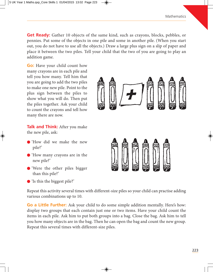**Get Ready:** Gather 10 objects of the same kind, such as crayons, blocks, pebbles, or pennies. Put some of the objects in one pile and some in another pile. (When you start out, you do not have to use all the objects.) Draw a large plus sign on a slip of paper and place it between the two piles. Tell your child that the two of you are going to play an addition game.

**Go:** Have your child count how many crayons are in each pile and tell you how many. Tell him that you are going to add the two piles to make one new pile. Point to the plus sign between the piles to show what you will do. Then put the piles together. Ask your child to count the crayons and tell how many there are now.

**Talk and Think:** After you make the new pile, ask:

- **●** 'How did we make the new pile?'
- **●** 'How many crayons are in the new pile?'
- **●** 'Were the other piles bigger than this pile?'
- **●** 'Is this the biggest pile?'

Repeat this activity several times with different-size piles so your child can practise adding various combinations up to 10.

**Go a Little Further:** Ask your child to do some simple addition mentally. Here's how: display two groups that each contain just one or two items. Have your child count the items in each pile. Ask him to put both groups into a bag. Close the bag. Ask him to tell you how many objects are in the bag. Then he can open the bag and count the new group. Repeat this several times with different-size piles.



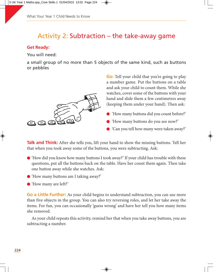# Activity 2: Subtraction – the take-away game

### **Get Ready:**

You will need:

a small group of no more than 5 objects of the same kind, such as buttons or pebbles



**Go:** Tell your child that you're going to play a number game. Put the buttons on a table and ask your child to count them. While she watches, cover some of the buttons with your hand and slide them a few centimetres away (keeping them under your hand). Then ask:

- **●** 'How many buttons did you count before?'
- **●** 'How many buttons do you see now?'
- **●** 'Can you tell how many were taken away?'

**Talk and Think:** After she tells you, lift your hand to show the missing buttons. Tell her that when you took away some of the buttons, you were subtracting. Ask:

- **●** 'How did you know how many buttons I took away?' If your child has trouble with these questions, put all the buttons back on the table. Have her count them again. Then take one button away while she watches. Ask:
- **●** 'How many buttons am I taking away?'
- **●** 'How many are left?'

**Go a Little Further:** As your child begins to understand subtraction, you can use more than five objects in the group. You can also try reversing roles, and let her take away the items. For fun, you can occasionally 'guess wrong' and have her tell you how many items she removed.

As your child repeats this activity, remind her that when you take away buttons, you are subtracting a number.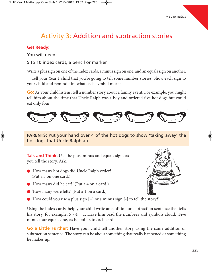# Activity 3: Addition and subtraction stories

### **Get Ready:**

You will need:

### 5 to 10 index cards, a pencil or marker

Write a plus sign on one of the index cards, a minus sign on one, and an equals sign on another.

Tell your Year 1 child that you're going to tell some number stories. Show each sign to your child and remind him what each symbol means.

**Go:** As your child listens, tell a number story about a family event. For example, you might tell him about the time that Uncle Ralph was a boy and ordered five hot dogs but could eat only four.



**PARENTS:** Put your hand over 4 of the hot dogs to show 'taking away' the hot dogs that Uncle Ralph ate.

**Talk and Think:** Use the plus, minus and equals signs as you tell the story. Ask:

- **●** 'How many hot dogs did Uncle Ralph order?' (Put a 5 on one card.)
- **●** 'How many did he eat?' (Put a 4 on a card.)
- **●** 'How many were left?' (Put a 1 on a card.)
- **●** 'How could you use a plus sign [+] or a minus sign [-] to tell the story?'

Using the index cards, help your child write an addition or subtraction sentence that tells his story, for example,  $5 - 4 = 1$ . Have him read the numbers and symbols aloud: 'Five minus four equals one, as he points to each card.

**Go a Little Further:** Have your child tell another story using the same addition or subtraction sentence. The story can be about something that really happened or something he makes up.

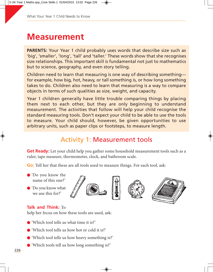# **Measurement**

**PARENTS:** Your Year 1 child probably uses words that describe size such as 'big', 'smaller', 'long', 'tall' and 'taller.' These words show that she recognises size relationships. This important skill is fundamental not just to mathematics but to science, geography, and even story telling.

Children need to learn that measuring is one way of describing something for example, how big, hot, heavy, or tall something is, or how long something takes to do. Children also need to learn that measuring is a way to compare objects in terms of such qualities as size, weight, and capacity.

Year 1 children generally have little trouble comparing things by placing them next to each other, but they are only beginning to understand measurement. The activities that follow will help your child recognise the standard measuring tools. Don't expect your child to be able to use the tools to measure. Your child should, however, be given opportunities to use arbitrary units, such as paper clips or footsteps, to measure length.

# Activity 1: Measurement tools

**Get Ready:** Let your child help you gather some household measurement tools such as a ruler, tape measure, thermometer, clock, and bathroom scale.

**Go:** Tell her that these are all tools used to measure things. For each tool, ask:

- **●** 'Do you know the name of this one?'
- **●** 'Do you know what we use this for?'







#### **Talk and Think:** To

help her focus on how these tools are used, ask:

- **●** 'Which tool tells us what time it is?'
- **●** 'Which tool tells us how hot or cold it is?'
- **●** 'Which tool tells us how heavy something is?'
- **●** 'Which tools tell us how long something is?'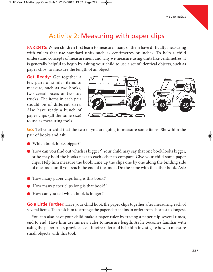### Activity 2: Measuring with paper clips

**PARENTS:** When children first learn to measure, many of them have difficulty measuring with rulers that use standard units such as centimetres or inches. To help a child understand concepts of measurement and why we measure using units like centimetres, it is generally helpful to begin by asking your child to use a set of identical objects, such as paper clips, to measure the length of an object.

**Get Ready:** Get together a few pairs of similar items to measure, such as two books, two cereal boxes or two toy trucks. The items in each pair should be of different sizes. Also have ready a bunch of paper clips (all the same size) to use as measuring tools.



**Go:** Tell your child that the two of you are going to measure some items. Show him the pair of books and ask:

- **●** 'Which book looks bigger?'
- **●** 'How can you find out which is bigger?' Your child may say that one book looks bigger, or he may hold the books next to each other to compare. Give your child some paper clips. Help him measure the book. Line up the clips one by one along the binding side of one book until you reach the end of the book. Do the same with the other book. Ask:
- **●** 'How many paper clips long is this book?'
- **●** 'How many paper clips long is that book?'
- **●** 'How can you tell which book is longer?'

**Go a Little Further:** Have your child hook the paper clips together after measuring each of several items. Then ask him to arrange the paper clip chains in order from shortest to longest.

You can also have your child make a paper ruler by tracing a paper clip several times, end to end. Have him use his new ruler to measure length. As he becomes familiar with using the paper ruler, provide a centimetre ruler and help him investigate how to measure small objects with this tool.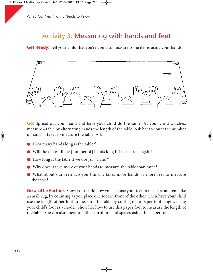# Activity 3: Measuring with hands and feet

**Get Ready:** Tell your child that you're going to measure some items using your hands.



**Go:** Spread out your hand and have your child do the same. As your child watches, measure a table by alternating hands the length of the table. Ask her to count the number of hands it takes to measure the table. Ask:

- **●** 'How many hands long is the table?'
- **●** 'Will the table still be [number of] hands long if I measure it again?'
- **●** 'How long is the table if we use *your* hand?'
- **●** 'Why does it take more of your hands to measure the table than mine?'
- **●** 'What about our feet? Do you think it takes more hands or more feet to measure the table?'

**Go a Little Further:** Show your child how you can use your feet to measure an item, like a small rug, by counting as you place one foot in front of the other. Then have your child use the length of her foot to measure the table by cutting out a paper foot length, using your child's foot as a model. Show her how to use this paper foot to measure the length of the table. She can also measure other furniture and spaces using this paper tool.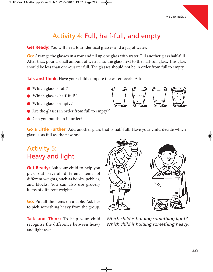# Activity 4: Full, half-full, and empty

**Get Ready:** You will need four identical glasses and a jug of water.

**Go:** Arrange the glasses in a row and fill up one glass with water. Fill another glass half-full. After that, pour a small amount of water into the glass next to the half-full glass. This glass should be less than one-quarter full. The glasses should not be in order from full to empty.

**Talk and Think:** Have your child compare the water levels. Ask:

- **●** 'Which glass is full?'
- **●** 'Which glass is half-full?'
- **●** 'Which glass is empty?'
- **●** 'Are the glasses in order from full to empty?'
- **●** 'Can you put them in order?'



**Go a Little Further:** Add another glass that is half-full. Have your child decide which glass is 'as full as' the new one.

# Activity 5: Heavy and light

**Get Ready:** Ask your child to help you pick out several different items of different weights, such as books, pebbles, and blocks. You can also use grocery items of different weights.

**Go:** Put all the items on a table. Ask her to pick something heavy from the group.

**Talk and Think:** To help your child recognise the difference between heavy and light ask:



*Which child is holding something light? Which child is holding something heavy?*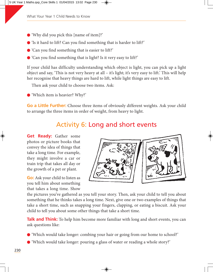- **●** 'Why did you pick this [name of item]?'
- **●** 'Is it hard to lift? Can you find something that is harder to lift?'
- **●** 'Can you find something that is easier to lift?'
- **●** 'Can you find something that is light? Is it very easy to lift?'

If your child has difficulty understanding which object is light, you can pick up a light object and say, 'This is not very heavy at all – it's light; it's very easy to lift.' This will help her recognise that heavy things are hard to lift, while light things are easy to lift.

Then ask your child to choose two items. Ask:

**●** 'Which item is heavier? Why?'

**Go a Little Further:** Choose three items of obviously different weights. Ask your child to arrange the three items in order of weight, from heavy to light.

# Activity 6: Long and short events

**Get Ready:** Gather some photos or picture books that convey the idea of things that take a long time. For example, they might involve a car or train trip that takes all day or the growth of a pet or plant.

**Go:** Ask your child to listen as you tell him about something that takes a long time. Show



the pictures you've gathered as you tell your story. Then, ask your child to tell you about something that he thinks takes a long time. Next, give one or two examples of things that take a short time, such as snapping your fingers, clapping, or eating a biscuit. Ask your child to tell you about some other things that take a short time.

**Talk and Think:** To help him become more familiar with long and short events, you can ask questions like:

- **●** 'Which would take longer: combing your hair or going from our home to school?'
- **●** 'Which would take longer: pouring a glass of water or reading a whole story?'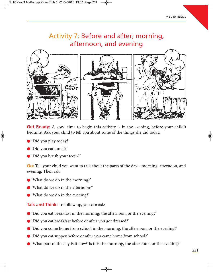# Activity 7: Before and after; morning, afternoon, and evening



**Get Ready:** A good time to begin this activity is in the evening, before your child's bedtime. Ask your child to tell you about some of the things she did today.

- **●** 'Did you play today?'
- **●** 'Did you eat lunch?'
- **●** 'Did you brush your teeth?'

**Go:** Tell your child you want to talk about the parts of the day – morning, afternoon, and evening. Then ask:

- **●** 'What do we do in the morning?'
- **●** 'What do we do in the afternoon?'
- **●** 'What do we do in the evening?'

**Talk and Think:** To follow up, you can ask:

- **●** 'Did you eat breakfast in the morning, the afternoon, or the evening?'
- **●** 'Did you eat breakfast before or after you got dressed?'
- **●** 'Did you come home from school in the morning, the afternoon, or the evening?'
- 'Did you eat supper before or after you came home from school?'
- **●** 'What part of the day is it now? Is this the morning, the afternoon, or the evening?'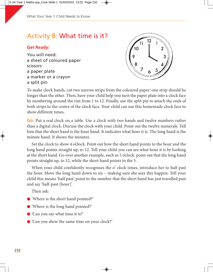# Activity 8: What time is it?

### **Get Ready:**

You will need: a sheet of coloured paper scissors a paper plate a marker or a crayon a split pin



To make clock hands, cut two narrow strips from the coloured paper: one strip should be longer than the other. Then, have your child help you turn the paper plate into a clock face by numbering around the rim from 1 to 12. Finally, use the split pin to attach the ends of both strips to the centre of the clock face. Your child can use this homemade clock face to show different times.

**Go:** Put a real clock on a table. Use a clock with two hands and twelve numbers rather than a digital clock. Discuss the clock with your child. Point out the twelve numerals. Tell him that the short hand is the hour hand. It indicates what hour it is. The long hand is the minute hand. It shows the minutes.

Set the clock to show 4 o'clock. Point out how the short hand points to the hour and the long hand points straight up, to 12. Tell your child you can see what hour it is by looking at the short hand. Go over another example, such as 5 o'clock: point out that the long hand points straight up, to 12, while the short hand points to the 5.

When your child confidently recognises the o' clock times, introduce her to half past the hour. Move the long hand down to six – making sure she sees this happen. Tell your child this means 'half past', point to the number that the short hand has just travelled past and say 'half-past [hour]'.

Then ask:

- **●** 'Where is the short hand pointed?'
- **●** 'Where is the long hand pointed?'
- **●** 'Can you say what time it is?'
- **●** 'Can you show the same time on your clock?'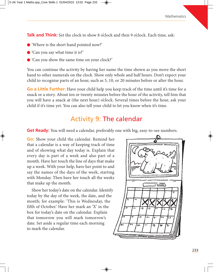**Talk and Think:** Set the clock to show 8 o'clock and then 9 o'clock. Each time, ask:

- **●** 'Where is the short hand pointed now?'
- **●** 'Can you say what time it is?'
- **●** 'Can you show the same time on your clock?'

You can continue the activity by having her name the time shown as you move the short hand to other numerals on the clock. Show only whole and half hours. Don't expect your child to recognise parts of an hour, such as 5, 10, or 20 minutes before or after the hour.

**Go a Little Further:** Have your child help you keep track of the time until it's time for a snack or a story. About ten or twenty minutes before the hour of the activity, tell him that you will have a snack at (the next hour) o'clock. Several times before the hour, ask your child if it's time yet. You can also tell your child to let you know when it's time.

### Activity 9: The calendar

**Get Ready:** You will need a calendar, preferably one with big, easy-to-see numbers.

**Go:** Show your child the calendar. Remind her that a calendar is a way of keeping track of time and of showing what day today is. Explain that every day is part of a week and also part of a month. Have her touch the line of days that make up a week. With your help, have her point to and say the names of the days of the week, starting with Monday. Then have her touch all the weeks that make up the month.

Show her today's date on the calendar. Identify today by the day of the week, the date, and the month; for example: 'This is Wednesday, the fifth of October.' Have her mark an 'X' in the box for today's date on the calendar. Explain that tomorrow you will mark tomorrow's date. Set aside a regular time each morning to mark the calendar.

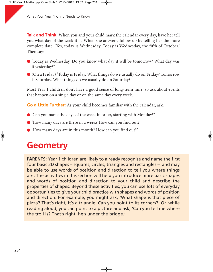**Talk and Think:** When you and your child mark the calendar every day, have her tell you what day of the week it is. When she answers, follow up by telling her the more complete date: 'Yes, today is Wednesday. Today is Wednesday, the fifth of October.' Then say:

- **●** 'Today is Wednesday. Do you know what day it will be tomorrow? What day was it yesterday?'
- (On a Friday) 'Today is Friday. What things do we usually do on Friday? Tomorrow is Saturday. What things do we usually do on Saturday?'

Most Year 1 children don't have a good sense of long-term time, so ask about events that happen on a single day or on the same day every week.

**Go a Little Further:** As your child becomes familiar with the calendar, ask:

- **●** 'Can you name the days of the week in order, starting with Monday?'
- **●** 'How many days are there in a week? How can you find out?'
- **●** 'How many days are in this month? How can you find out?'

# **Geometry**

**PARENTS:** Year 1 children are likely to already recognise and name the first four basic 2D shapes – squares, circles, triangles and rectangles – and may be able to use words of position and direction to tell you where things are. The activities in this section will help you introduce more basic shapes and words of position and direction to your child and describe the properties of shapes. Beyond these activities, you can use lots of everyday opportunities to give your child practice with shapes and words of position and direction. For example, you might ask, 'What shape is that piece of pizza? That's right, it's a triangle. Can you point to its corners?' Or, while reading aloud, you can point to a picture and ask, 'Can you tell me where the troll is? That's right, he's under the bridge.'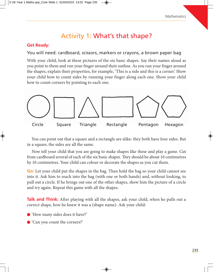# Activity 1: What's that shape?

#### **Get Ready:**

You will need: cardboard, scissors, markers or crayons, a brown paper bag

With your child, look at these pictures of the six basic shapes. Say their names aloud as you point to them and run your finger around their outline. As you run your finger around the shapes, explain their properties, for example, 'This is a side and this is a corner.' Show your child how to count sides by running your finger along each one. Show your child how to count corners by pointing to each one.



You can point out that a square and a rectangle are alike: they both have four sides. But in a square, the sides are all the same.

Now tell your child that you are going to make shapes like these and play a game. Cut from cardboard several of each of the six basic shapes. They should be about 10 centimetres by 10 centimetres. Your child can colour or decorate the shapes as you cut them.

**Go:** Let your child put the shapes in the bag. Then hold the bag so your child cannot see into it. Ask him to reach into the bag (with one or both hands) and, without looking, to pull out a circle. If he brings out one of the other shapes, show him the picture of a circle and try again. Repeat this game with all the shapes.

**Talk and Think:** After playing with all the shapes, ask your child, when he pulls out a correct shape, how he knew it was a (shape name). Ask your child:

- 'How many sides does it have?'
- 'Can you count the corners?'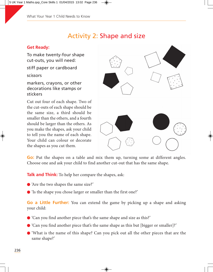# Activity 2: Shape and size

### **Get Ready:**

To make twenty-four shape cut-outs, you will need:

stiff paper or cardboard

scissors

markers, crayons, or other decorations like stamps or stickers

Cut out four of each shape. Two of the cut-outs of each shape should be the same size, a third should be smaller than the others, and a fourth should be larger than the others. As you make the shapes, ask your child to tell you the name of each shape. Your child can colour or decorate the shapes as you cut them.



**Go:** Put the shapes on a table and mix them up, turning some at different angles. Choose one and ask your child to find another cut-out that has the same shape.

**Talk and Think:** To help her compare the shapes, ask:

- **●** 'Are the two shapes the same size?'
- **●** 'Is the shape you chose larger or smaller than the first one?'

**Go a Little Further:** You can extend the game by picking up a shape and asking your child:

**●** 'Can you find another piece that's the same shape and size as this?'

- **●** 'Can you find another piece that's the same shape as this but [bigger or smaller]?'
- **●** 'What is the name of this shape? Can you pick out all the other pieces that are the same shape?'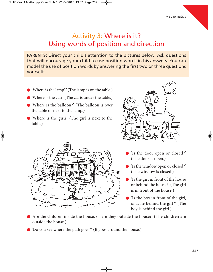# Activity 3: Where is it? Using words of position and direction

**PARENTS:** Direct your child's attention to the pictures below. Ask questions that will encourage your child to use position words in his answers. You can model the use of position words by answering the first two or three questions yourself.

- **•** 'Where is the lamp?' (The lamp is on the table.)
- **●** 'Where is the cat?' (The cat is under the table.)
- **●** 'Where is the balloon?' (The balloon is over the table or next to the lamp.)
- **●** 'Where is the girl?' (The girl is next to the table.)





- **●** 'Is the door open or closed?' (The door is open.)
- **●** 'Is the window open or closed?' (The window is closed.)
- **●** 'Is the girl in front of the house or behind the house?' (The girl is in front of the house.)
- **●** 'Is the boy in front of the girl, or is he behind the girl?' (The boy is behind the girl.)
- **●** Are the children inside the house, or are they outside the house?' (The children are outside the house.)
- 'Do you see where the path goes?' (It goes around the house.)